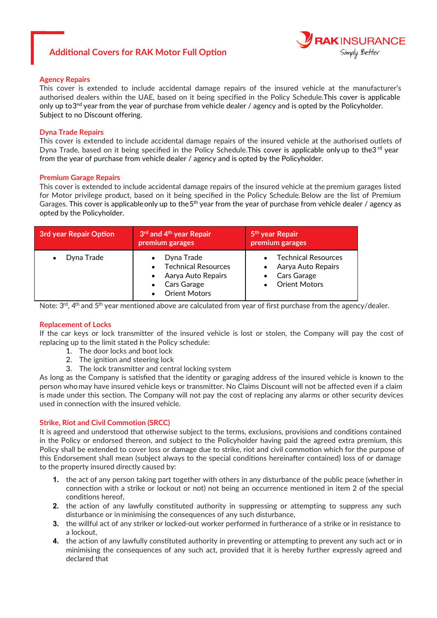# **Additional Covers for RAK Motor Full Option**



## **Agency Repairs**

This cover is extended to include accidental damage repairs of the insured vehicle at the manufacturer's authorised dealers within the UAE, based on it being specified in the Policy Schedule.This cover is applicable only up to 3<sup>nd</sup> year from the year of purchase from vehicle dealer / agency and is opted by the Policyholder. Subject to no Discount offering.

## **Dyna Trade Repairs**

This cover is extended to include accidental damage repairs of the insured vehicle at the authorised outlets of Dyna Trade, based on it being specified in the Policy Schedule. This cover is applicable only up to the3<sup>rd</sup> year from the year of purchase from vehicle dealer / agency and is opted by the Policyholder.

### **Premium Garage Repairs**

This cover is extended to include accidental damage repairs of the insured vehicle at the premium garages listed for Motor privilege product, based on it being specified in the Policy Schedule.Below are the list of Premium Garages. This cover is applicable only up to the 5<sup>th</sup> year from the year of purchase from vehicle dealer / agency as opted by the Policyholder.

| <b>3rd year Repair Option</b> | 3 <sup>rd</sup> and 4 <sup>th</sup> year Repair<br>premium garages                                                                                        | 5 <sup>th</sup> year Repair<br>premium garages                                     |
|-------------------------------|-----------------------------------------------------------------------------------------------------------------------------------------------------------|------------------------------------------------------------------------------------|
| Dyna Trade<br>$\bullet$       | Dyna Trade<br>$\bullet$<br><b>Technical Resources</b><br>$\bullet$<br>Aarya Auto Repairs<br>$\bullet$<br>Cars Garage<br>$\bullet$<br><b>Orient Motors</b> | • Technical Resources<br>Aarya Auto Repairs<br>Cars Garage<br><b>Orient Motors</b> |

Note:  $3<sup>rd</sup>$ , 4<sup>th</sup> and  $5<sup>th</sup>$  year mentioned above are calculated from year of first purchase from the agency/dealer.

### **Replacement of Locks**

If the car keys or lock transmitter of the insured vehicle is lost or stolen, the Company will pay the cost of replacing up to the limit stated in the Policy schedule:

- 1. The door locks and boot lock
- 2. The ignition and steering lock
- 3. The lock transmitter and central locking system

As long as the Company is satisfied that the identity or garaging address of the insured vehicle is known to the person who may have insured vehicle keys or transmitter. No Claims Discount will not be affected even if a claim is made under this section. The Company will not pay the cost of replacing any alarms or other security devices used in connection with the insured vehicle.

# **Strike, Riot and Civil Commotion (SRCC)**

It is agreed and understood that otherwise subject to the terms, exclusions, provisions and conditions contained in the Policy or endorsed thereon, and subject to the Policyholder having paid the agreed extra premium, this Policy shall be extended to cover loss or damage due to strike, riot and civil commotion which for the purpose of this Endorsement shall mean (subject always to the special conditions hereinafter contained) loss of or damage to the property insured directly caused by:

- **1.** the act of any person taking part together with others in any disturbance of the public peace (whether in connection with a strike or lockout or not) not being an occurrence mentioned in item 2 of the special conditions hereof,
- **2.** the action of any lawfully constituted authority in suppressing or attempting to suppress any such disturbance or in minimising the consequences of any such disturbance,
- **3.** the willful act of any striker or locked-out worker performed in furtherance of a strike or in resistance to a lockout,
- **4.** the action of any lawfully constituted authority in preventing or attempting to prevent any such act or in minimising the consequences of any such act, provided that it is hereby further expressly agreed and declared that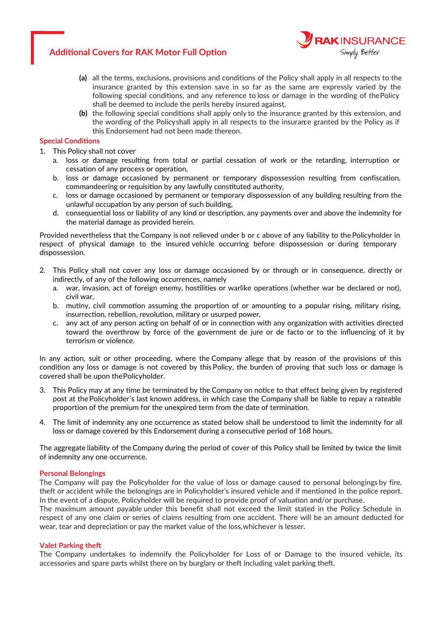# **Additional Covers for RAK Motor Full Option**



- **(a)** all the terms, exclusions, provisions and conditions of the Policy shall apply in all respects to the insurance granted by this extension save in so far as the same are expressly varied by the following special conditions, and any reference to loss or damage in the wording of the Policy shall be deemed to include the perils hereby insured against,
- **(b)** the following special conditions shall apply only to the insurance granted by this extension, and the wording of the Policyshall apply in all respects to the insurance granted by the Policy as if this Endorsement had not been made thereon.

# **Special Conditions**

- 1. This Policy shall not cover
	- a. loss or damage resulting from total or partial cessation of work or the retarding, interruption or cessation of any process or operation,
	- b. loss or damage occasioned by permanent or temporary dispossession resulting from confiscation, commandeering or requisition by any lawfully constituted authority,
	- c. loss or damage occasioned by permanent or temporary dispossession of any building resulting from the unlawful occupation by any person of such building,
	- d. consequential loss or liability of any kind or description, any payments over and above the indemnity for the material damage as provided herein.

Provided nevertheless that the Company is not relieved under b or c above of any liability to the Policyholder in respect of physical damage to the insured vehicle occurring before dispossession or during temporary dispossession.

- This 2. Policy shall not cover any loss or damage occasioned by or through or in consequence, directly or indirectly, of any of the following occurrences, namely
	- a. war, invasion, act of foreign enemy, hostilities or warlike operations (whether war be declared or not), civil war,
	- b. mutiny, civil commotion assuming the proportion of or amounting to a popular rising, military rising, insurrection, rebellion, revolution, military or usurped power,
	- c. any act of any person acting on behalf of or in connection with any organization with activities directed toward the overthrow by force of the government de jure or de facto or to the influencing of it by terrorism or violence.

In any action, suit or other proceeding, where the Company allege that by reason of the provisions of this condition any loss or damage is not covered by this Policy, the burden of proving that such loss or damage is covered shall be upon the Policyholder.

- This 3. Policy may at any time be terminated by the Company on notice to that effect being given by registered post at the Policyholder's last known address, in which case the Company shall be liable to repay a rateable proportion of the premium for the unexpired term from the date of termination.
- 4. The limit of indemnity any one occurrence as stated below shall be understood to limit the indemnity for all loss or damage covered by this Endorsement during a consecutive period of 168 hours.

The aggregate liability of the Company during the period of cover of this Policy shall be limited by twice the limit of indemnity any one occurrence.

# **Personal Belongings**

The Company will pay the Policyholder for the value of loss or damage caused to personal belongings by fire, theft or accident while the belongings are in Policyholder's insured vehicle and if mentioned in the police report. In the event of a dispute, Policyholder will be required to provide proof of valuation and/or purchase.

The maximum amount payable under this benefit shall not exceed the limit stated in the Policy Schedule in respect of any one claim or series of claims resulting from one accident. There will be an amount deducted for wear, tear and depreciation or pay the market value of the loss, whichever is lesser.

# **Valet Parking theft**

The Company undertakes to indemnify the Policyholder for Loss of or Damage to the insured vehicle, its accessories and spare parts whilst there on by burglary or theft including valet parking theft.